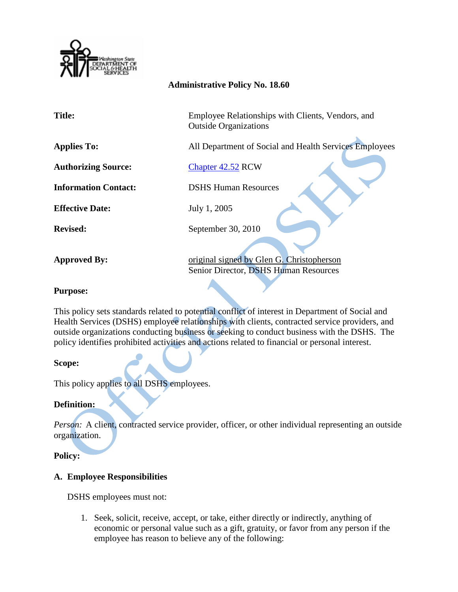

### **Administrative Policy No. 18.60**

| <b>Title:</b>               | Employee Relationships with Clients, Vendors, and<br><b>Outside Organizations</b>  |
|-----------------------------|------------------------------------------------------------------------------------|
| <b>Applies To:</b>          | All Department of Social and Health Services Employees                             |
| <b>Authorizing Source:</b>  | Chapter 42.52 RCW                                                                  |
| <b>Information Contact:</b> | <b>DSHS Human Resources</b>                                                        |
| <b>Effective Date:</b>      | July 1, 2005                                                                       |
| <b>Revised:</b>             | September 30, 2010                                                                 |
| <b>Approved By:</b>         | original signed by Glen G. Christopherson<br>Senior Director, DSHS Human Resources |

### **Purpose:**

This policy sets standards related to potential conflict of interest in Department of Social and Health Services (DSHS) employee relationships with clients, contracted service providers, and outside organizations conducting business or seeking to conduct business with the DSHS. The policy identifies prohibited activities and actions related to financial or personal interest.

# **Scope:**

This policy applies to all DSHS employees.

# **Definition:**

*Person:* A client, contracted service provider, officer, or other individual representing an outside organization.

# **Policy:**

# **A. Employee Responsibilities**

DSHS employees must not:

1. Seek, solicit, receive, accept, or take, either directly or indirectly, anything of economic or personal value such as a gift, gratuity, or favor from any person if the employee has reason to believe any of the following: